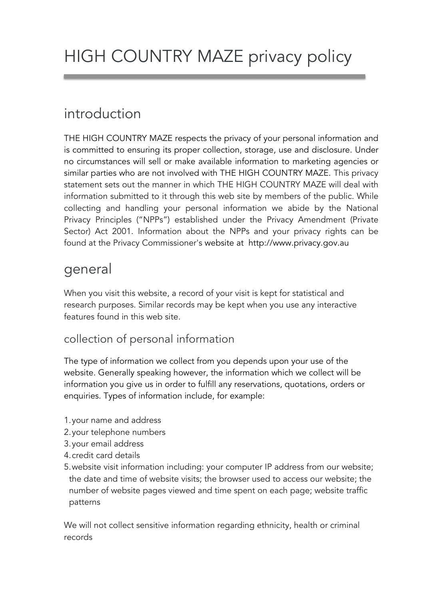# HIGH COUNTRY MAZE privacy policy

# introduction

THE HIGH COUNTRY MAZE respects the privacy of your personal information and is committed to ensuring its proper collection, storage, use and disclosure. Under no circumstances will sell or make available information to marketing agencies or similar parties who are not involved with THE HIGH COUNTRY MAZE. This privacy statement sets out the manner in which THE HIGH COUNTRY MAZE will deal with information submitted to it through this web site by members of the public. While collecting and handling your personal information we abide by the National Privacy Principles ("NPPs") established under the Privacy Amendment (Private Sector) Act 2001. Information about the NPPs and your privacy rights can be found at the Privacy Commissioner's website at http://www.privacy.gov.au

### general

When you visit this website, a record of your visit is kept for statistical and research purposes. Similar records may be kept when you use any interactive features found in this web site.

#### collection of personal information

The type of information we collect from you depends upon your use of the website. Generally speaking however, the information which we collect will be information you give us in order to fulfill any reservations, quotations, orders or enquiries. Types of information include, for example:

- 1.your name and address
- 2.your telephone numbers
- 3.your email address
- 4.credit card details
- 5.website visit information including: your computer IP address from our website; the date and time of website visits; the browser used to access our website; the number of website pages viewed and time spent on each page; website traffic patterns

We will not collect sensitive information regarding ethnicity, health or criminal records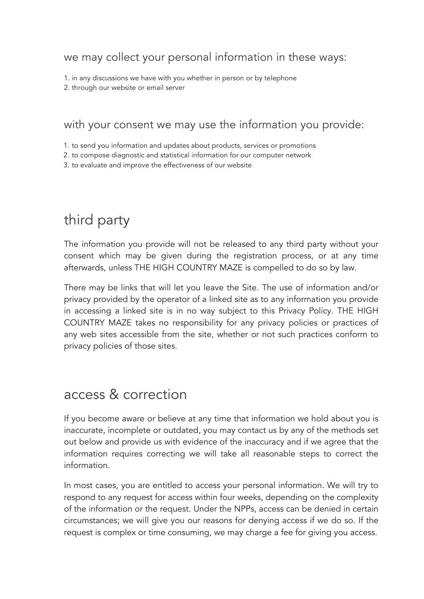#### we may collect your personal information in these ways:

1. in any discussions we have with you whether in person or by telephone

2. through our website or email server

#### with your consent we may use the information you provide:

1. to send you information and updates about products, services or promotions

2. to compose diagnostic and statistical information for our computer network

3. to evaluate and improve the effectiveness of our website

# third party

The information you provide will not be released to any third party without your consent which may be given during the registration process, or at any time afterwards, unless THE HIGH COUNTRY MAZE is compelled to do so by law.

There may be links that will let you leave the Site. The use of information and/or privacy provided by the operator of a linked site as to any information you provide in accessing a linked site is in no way subject to this Privacy Policy. THE HIGH COUNTRY MAZE takes no responsibility for any privacy policies or practices of any web sites accessible from the site, whether or not such practices conform to privacy policies of those sites.

### access & correction

If you become aware or believe at any time that information we hold about you is inaccurate, incomplete or outdated, you may contact us by any of the methods set out below and provide us with evidence of the inaccuracy and if we agree that the information requires correcting we will take all reasonable steps to correct the information.

In most cases, you are entitled to access your personal information. We will try to respond to any request for access within four weeks, depending on the complexity of the information or the request. Under the NPPs, access can be denied in certain circumstances; we will give you our reasons for denying access if we do so. If the request is complex or time consuming, we may charge a fee for giving you access.